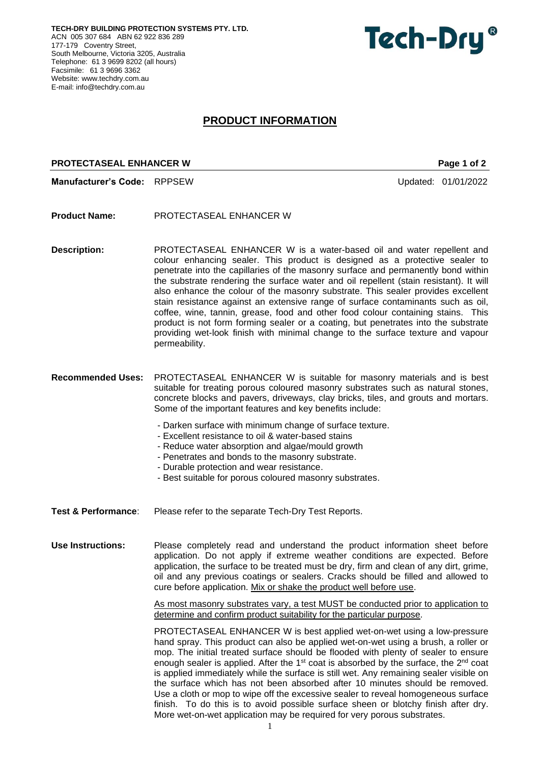**TECH-DRY BUILDING PROTECTION SYSTEMS PTY. LTD.** ACN 005 307 684 ABN 62 922 836 289 177-179 Coventry Street, South Melbourne, Victoria 3205, Australia Telephone: 61 3 9699 8202 (all hours) Facsimile: 61 3 9696 3362 Website: [www.techdry.com.au](http://www.techdry.com.au/) E-mail: [info@techdry.com.au](mailto:info@techdry.com.au)

# Tech-Dry<sup>®</sup>

## **PRODUCT INFORMATION**

### **PROTECTASEAL ENHANCER W Page 1 of 2**

**Manufacturer's Code:** RPPSEW Updated: 01/01/2022

**Product Name:** PROTECTASEAL ENHANCER W

**Description:** PROTECTASEAL ENHANCER W is a water-based oil and water repellent and colour enhancing sealer. This product is designed as a protective sealer to penetrate into the capillaries of the masonry surface and permanently bond within the substrate rendering the surface water and oil repellent (stain resistant). It will also enhance the colour of the masonry substrate. This sealer provides excellent stain resistance against an extensive range of surface contaminants such as oil, coffee, wine, tannin, grease, food and other food colour containing stains. This product is not form forming sealer or a coating, but penetrates into the substrate providing wet-look finish with minimal change to the surface texture and vapour permeability.

**Recommended Uses:** PROTECTASEAL ENHANCER W is suitable for masonry materials and is best suitable for treating porous coloured masonry substrates such as natural stones, concrete blocks and pavers, driveways, clay bricks, tiles, and grouts and mortars. Some of the important features and key benefits include:

- Darken surface with minimum change of surface texture.
- Excellent resistance to oil & water-based stains
- Reduce water absorption and algae/mould growth
- Penetrates and bonds to the masonry substrate.
- Durable protection and wear resistance.
- Best suitable for porous coloured masonry substrates.
- **Test & Performance**: Please refer to the separate Tech-Dry Test Reports.

**Use Instructions:** Please completely read and understand the product information sheet before application. Do not apply if extreme weather conditions are expected. Before application, the surface to be treated must be dry, firm and clean of any dirt, grime, oil and any previous coatings or sealers. Cracks should be filled and allowed to cure before application. Mix or shake the product well before use.

> As most masonry substrates vary, a test MUST be conducted prior to application to determine and confirm product suitability for the particular purpose.

> PROTECTASEAL ENHANCER W is best applied wet-on-wet using a low-pressure hand spray. This product can also be applied wet-on-wet using a brush, a roller or mop. The initial treated surface should be flooded with plenty of sealer to ensure enough sealer is applied. After the 1<sup>st</sup> coat is absorbed by the surface, the 2<sup>nd</sup> coat is applied immediately while the surface is still wet. Any remaining sealer visible on the surface which has not been absorbed after 10 minutes should be removed. Use a cloth or mop to wipe off the excessive sealer to reveal homogeneous surface finish. To do this is to avoid possible surface sheen or blotchy finish after dry. More wet-on-wet application may be required for very porous substrates.